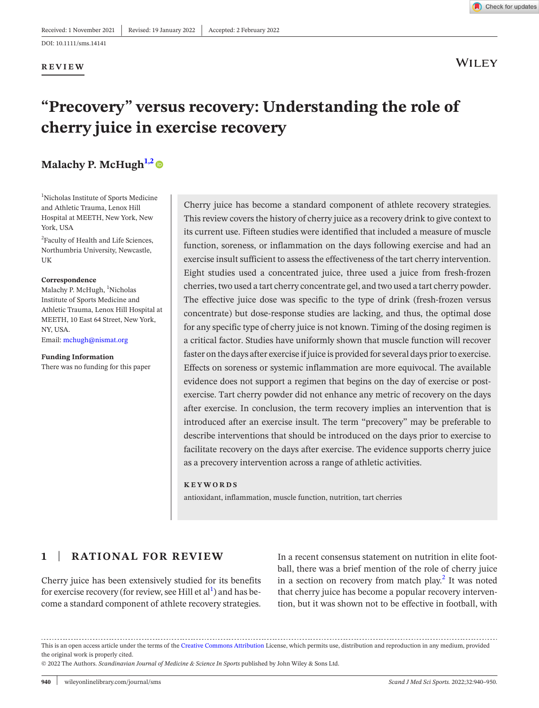#### **REVIEW**



**WILEY** 

# **"Precovery" versus recovery: Understanding the role of cherry juice in exercise recovery**

# **Malachy P. McHugh<sup>1,2</sup>**

<span id="page-0-0"></span>1 Nicholas Institute of Sports Medicine and Athletic Trauma, Lenox Hill Hospital at MEETH, New York, New York, USA

<sup>2</sup>Faculty of Health and Life Sciences, Northumbria University, Newcastle, UK

#### **Correspondence**

Malachy P. McHugh, <sup>1</sup>Nicholas Institute of Sports Medicine and Athletic Trauma, Lenox Hill Hospital at MEETH, 10 East 64 Street, New York, NY, USA. Email: [mchugh@nismat.org](mailto:mchugh@nismat.org)

**Funding Information**  There was no funding for this paper Cherry juice has become a standard component of athlete recovery strategies. This review covers the history of cherry juice as a recovery drink to give context to its current use. Fifteen studies were identified that included a measure of muscle function, soreness, or inflammation on the days following exercise and had an exercise insult sufficient to assess the effectiveness of the tart cherry intervention. Eight studies used a concentrated juice, three used a juice from fresh-frozen cherries, two used a tart cherry concentrate gel, and two used a tart cherry powder. The effective juice dose was specific to the type of drink (fresh-frozen versus concentrate) but dose-response studies are lacking, and thus, the optimal dose for any specific type of cherry juice is not known. Timing of the dosing regimen is a critical factor. Studies have uniformly shown that muscle function will recover faster on the days after exercise if juice is provided for several days prior to exercise. Effects on soreness or systemic inflammation are more equivocal. The available evidence does not support a regimen that begins on the day of exercise or postexercise. Tart cherry powder did not enhance any metric of recovery on the days after exercise. In conclusion, the term recovery implies an intervention that is introduced after an exercise insult. The term "precovery" may be preferable to describe interventions that should be introduced on the days prior to exercise to facilitate recovery on the days after exercise. The evidence supports cherry juice as a precovery intervention across a range of athletic activities.

#### **KEYWORDS**

antioxidant, inflammation, muscle function, nutrition, tart cherries

# **1** | **RATIONAL FOR REVIEW**

Cherry juice has been extensively studied for its benefits for exercise recovery (for review, see Hill et  $\mathrm{al}^1$  $\mathrm{al}^1$ ) and has become a standard component of athlete recovery strategies.

In a recent consensus statement on nutrition in elite football, there was a brief mention of the role of cherry juice in a section on recovery from match play.<sup>[2](#page-9-1)</sup> It was noted that cherry juice has become a popular recovery intervention, but it was shown not to be effective in football, with

This is an open access article under the terms of the Creative Commons [Attribution](http://creativecommons.org/licenses/by/4.0/) License, which permits use, distribution and reproduction in any medium, provided the original work is properly cited.

© 2022 The Authors. *Scandinavian Journal of Medicine & Science In Sports* published by John Wiley & Sons Ltd.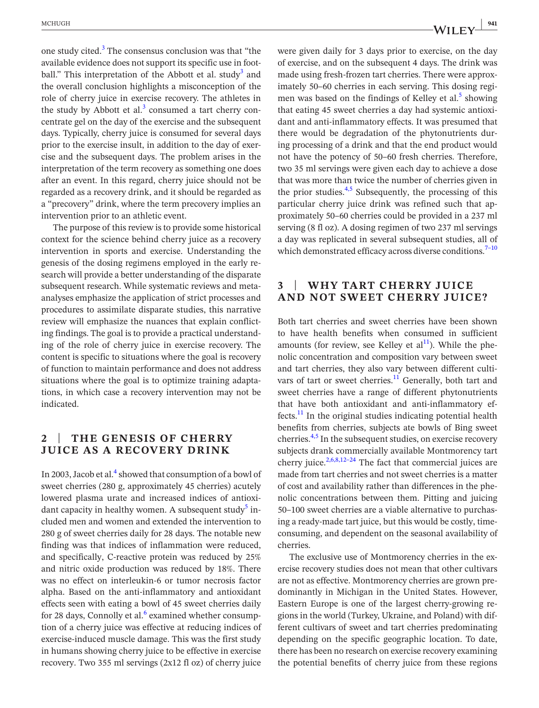one study cited. $3$  The consensus conclusion was that "the available evidence does not support its specific use in football." This interpretation of the Abbott et al. study<sup>3</sup> and the overall conclusion highlights a misconception of the role of cherry juice in exercise recovery. The athletes in the study by Abbott et al.<sup>[3](#page-9-2)</sup> consumed a tart cherry concentrate gel on the day of the exercise and the subsequent days. Typically, cherry juice is consumed for several days prior to the exercise insult, in addition to the day of exercise and the subsequent days. The problem arises in the interpretation of the term recovery as something one does after an event. In this regard, cherry juice should not be regarded as a recovery drink, and it should be regarded as a "precovery" drink, where the term precovery implies an intervention prior to an athletic event.

The purpose of this review is to provide some historical context for the science behind cherry juice as a recovery intervention in sports and exercise. Understanding the genesis of the dosing regimens employed in the early research will provide a better understanding of the disparate subsequent research. While systematic reviews and metaanalyses emphasize the application of strict processes and procedures to assimilate disparate studies, this narrative review will emphasize the nuances that explain conflicting findings. The goal is to provide a practical understanding of the role of cherry juice in exercise recovery. The content is specific to situations where the goal is recovery of function to maintain performance and does not address situations where the goal is to optimize training adaptations, in which case a recovery intervention may not be indicated.

# **2** | **THE GENESIS OF CHERRY JUICE AS A RECOVERY DRINK**

In 2003, Jacob et al.<sup>[4](#page-9-3)</sup> showed that consumption of a bowl of sweet cherries (280 g, approximately 45 cherries) acutely lowered plasma urate and increased indices of antioxi-dant capacity in healthy women. A subsequent study<sup>[5](#page-9-4)</sup> included men and women and extended the intervention to 280 g of sweet cherries daily for 28 days. The notable new finding was that indices of inflammation were reduced, and specifically, C-reactive protein was reduced by 25% and nitric oxide production was reduced by 18%. There was no effect on interleukin-6 or tumor necrosis factor alpha. Based on the anti-inflammatory and antioxidant effects seen with eating a bowl of 45 sweet cherries daily for 28 days, Connolly et al. $^6$  $^6$  examined whether consumption of a cherry juice was effective at reducing indices of exercise-induced muscle damage. This was the first study in humans showing cherry juice to be effective in exercise recovery. Two 355 ml servings (2x12 fl oz) of cherry juice were given daily for 3 days prior to exercise, on the day of exercise, and on the subsequent 4 days. The drink was made using fresh-frozen tart cherries. There were approximately 50–60 cherries in each serving. This dosing regi-men was based on the findings of Kelley et al.<sup>[5](#page-9-4)</sup> showing that eating 45 sweet cherries a day had systemic antioxidant and anti-inflammatory effects. It was presumed that there would be degradation of the phytonutrients during processing of a drink and that the end product would not have the potency of 50–60 fresh cherries. Therefore, two 35 ml servings were given each day to achieve a dose that was more than twice the number of cherries given in the prior studies. $4.5$  Subsequently, the processing of this particular cherry juice drink was refined such that approximately 50–60 cherries could be provided in a 237 ml serving (8 fl oz). A dosing regimen of two 237 ml servings a day was replicated in several subsequent studies, all of which demonstrated efficacy across diverse conditions.<sup>7-10</sup>

## **3** | **WHY TART CHERRY JUICE AND NOT SWEET CHERRY JUICE?**

Both tart cherries and sweet cherries have been shown to have health benefits when consumed in sufficient amounts (for review, see Kelley et  $al<sup>11</sup>$ ). While the phenolic concentration and composition vary between sweet and tart cherries, they also vary between different cultivars of tart or sweet cherries. $<sup>11</sup>$  $<sup>11</sup>$  $<sup>11</sup>$  Generally, both tart and</sup> sweet cherries have a range of different phytonutrients that have both antioxidant and anti-inflammatory effects. $\frac{11}{11}$  $\frac{11}{11}$  $\frac{11}{11}$  In the original studies indicating potential health benefits from cherries, subjects ate bowls of Bing sweet cherries.<sup>[4,5](#page-9-3)</sup> In the subsequent studies, on exercise recovery subjects drank commercially available Montmorency tart cherry juice.<sup>[2,6,8,12–24](#page-9-1)</sup> The fact that commercial juices are made from tart cherries and not sweet cherries is a matter of cost and availability rather than differences in the phenolic concentrations between them. Pitting and juicing 50–100 sweet cherries are a viable alternative to purchasing a ready-made tart juice, but this would be costly, timeconsuming, and dependent on the seasonal availability of cherries.

The exclusive use of Montmorency cherries in the exercise recovery studies does not mean that other cultivars are not as effective. Montmorency cherries are grown predominantly in Michigan in the United States. However, Eastern Europe is one of the largest cherry-growing regions in the world (Turkey, Ukraine, and Poland) with different cultivars of sweet and tart cherries predominating depending on the specific geographic location. To date, there has been no research on exercise recovery examining the potential benefits of cherry juice from these regions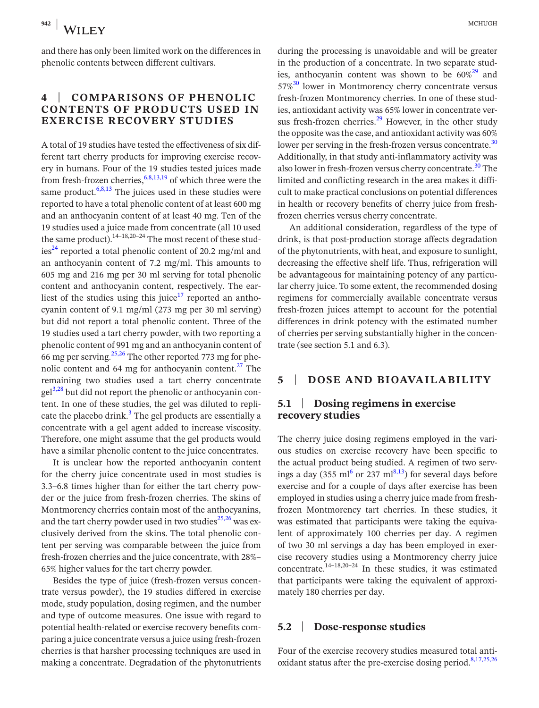and there has only been limited work on the differences in phenolic contents between different cultivars.

## **4** | **COMPARISONS OF PHENOLIC CONTENTS OF PRODUCTS USED IN EXERCISE RECOVERY STUDIES**

A total of 19 studies have tested the effectiveness of six different tart cherry products for improving exercise recovery in humans. Four of the 19 studies tested juices made from fresh-frozen cherries,  $6,8,13,19$  of which three were the same product. $6,8,13$  The juices used in these studies were reported to have a total phenolic content of at least 600 mg and an anthocyanin content of at least 40 mg. Ten of the 19 studies used a juice made from concentrate (all 10 used the same product).<sup>14–18,20–24</sup> The most recent of these studies<sup>24</sup> reported a total phenolic content of 20.2 mg/ml and an anthocyanin content of 7.2 mg/ml. This amounts to 605 mg and 216 mg per 30 ml serving for total phenolic content and anthocyanin content, respectively. The ear-liest of the studies using this juice<sup>[17](#page-9-8)</sup> reported an anthocyanin content of 9.1 mg/ml (273 mg per 30 ml serving) but did not report a total phenolic content. Three of the 19 studies used a tart cherry powder, with two reporting a phenolic content of 991 mg and an anthocyanin content of 66 mg per serving. $25,26$  The other reported 773 mg for phenolic content and 64 mg for anthocyanin content. $27$  The remaining two studies used a tart cherry concentrate gel<sup>[3,28](#page-9-2)</sup> but did not report the phenolic or anthocyanin content. In one of these studies, the gel was diluted to repli-cate the placebo drink.<sup>[3](#page-9-2)</sup> The gel products are essentially a concentrate with a gel agent added to increase viscosity. Therefore, one might assume that the gel products would have a similar phenolic content to the juice concentrates.

It is unclear how the reported anthocyanin content for the cherry juice concentrate used in most studies is 3.3–6.8 times higher than for either the tart cherry powder or the juice from fresh-frozen cherries. The skins of Montmorency cherries contain most of the anthocyanins, and the tart cherry powder used in two studies $25,26$  was exclusively derived from the skins. The total phenolic content per serving was comparable between the juice from fresh-frozen cherries and the juice concentrate, with 28%– 65% higher values for the tart cherry powder.

Besides the type of juice (fresh-frozen versus concentrate versus powder), the 19 studies differed in exercise mode, study population, dosing regimen, and the number and type of outcome measures. One issue with regard to potential health-related or exercise recovery benefits comparing a juice concentrate versus a juice using fresh-frozen cherries is that harsher processing techniques are used in making a concentrate. Degradation of the phytonutrients during the processing is unavoidable and will be greater in the production of a concentrate. In two separate studies, anthocyanin content was shown to be  $60\%^{29}$  $60\%^{29}$  $60\%^{29}$  and 57%<sup>30</sup> lower in Montmorency cherry concentrate versus fresh-frozen Montmorency cherries. In one of these studies, antioxidant activity was 65% lower in concentrate versus fresh-frozen cherries. $^{29}$  $^{29}$  $^{29}$  However, in the other study the opposite was the case, and antioxidant activity was 60% lower per serving in the fresh-frozen versus concentrate.<sup>[30](#page-10-4)</sup> Additionally, in that study anti-inflammatory activity was also lower in fresh-frozen versus cherry concentrate.<sup>[30](#page-10-4)</sup> The limited and conflicting research in the area makes it difficult to make practical conclusions on potential differences in health or recovery benefits of cherry juice from freshfrozen cherries versus cherry concentrate.

An additional consideration, regardless of the type of drink, is that post-production storage affects degradation of the phytonutrients, with heat, and exposure to sunlight, decreasing the effective shelf life. Thus, refrigeration will be advantageous for maintaining potency of any particular cherry juice. To some extent, the recommended dosing regimens for commercially available concentrate versus fresh-frozen juices attempt to account for the potential differences in drink potency with the estimated number of cherries per serving substantially higher in the concentrate (see section 5.1 and 6.3).

#### **5** | **DOSE AND BIOAVAILABILITY**

## **5.1** | **Dosing regimens in exercise recovery studies**

The cherry juice dosing regimens employed in the various studies on exercise recovery have been specific to the actual product being studied. A regimen of two serv-ings a day (355 ml<sup>[6](#page-9-5)</sup> or 237 ml<sup>8,13</sup>) for several days before exercise and for a couple of days after exercise has been employed in studies using a cherry juice made from freshfrozen Montmorency tart cherries. In these studies, it was estimated that participants were taking the equivalent of approximately 100 cherries per day. A regimen of two 30 ml servings a day has been employed in exercise recovery studies using a Montmorency cherry juice concentrate. $14-18,20-24$  In these studies, it was estimated that participants were taking the equivalent of approximately 180 cherries per day.

#### **5.2** | **Dose-response studies**

Four of the exercise recovery studies measured total antioxidant status after the pre-exercise dosing period. $8,17,25,26$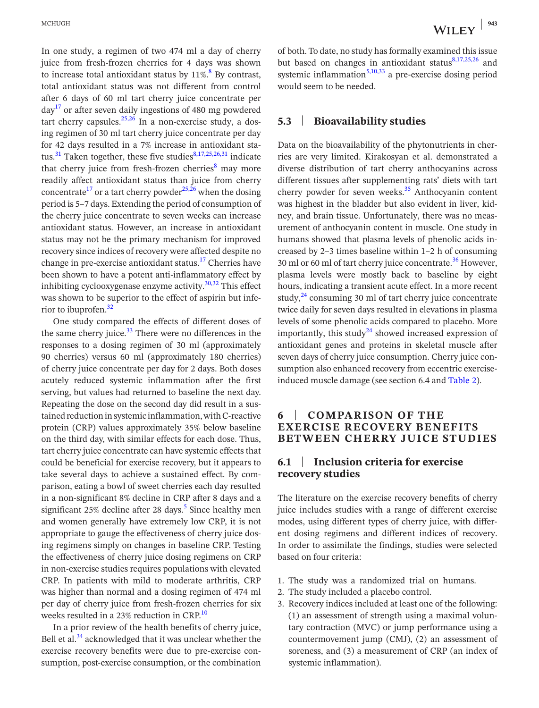In one study, a regimen of two 474 ml a day of cherry juice from fresh-frozen cherries for 4 days was shown to increase total antioxidant status by  $11\%$ <sup>[8](#page-9-9)</sup> By contrast, total antioxidant status was not different from control after 6 days of 60 ml tart cherry juice concentrate per  $\text{d}$ ay<sup>[17](#page-9-8)</sup> or after seven daily ingestions of 480 mg powdered tart cherry capsules. $25,26$  In a non-exercise study, a dosing regimen of 30 ml tart cherry juice concentrate per day for 42 days resulted in a 7% increase in antioxidant sta-tus.<sup>31</sup> Taken together, these five studies<sup>[8,17,25,26,31](#page-9-9)</sup> indicate that cherry juice from fresh-frozen cherries<sup>8</sup> may more readily affect antioxidant status than juice from cherry concentrate<sup>17</sup> or a tart cherry powder<sup>25,26</sup> when the dosing period is 5–7 days. Extending the period of consumption of the cherry juice concentrate to seven weeks can increase antioxidant status. However, an increase in antioxidant status may not be the primary mechanism for improved recovery since indices of recovery were affected despite no change in pre-exercise antioxidant status.<sup>17</sup> Cherries have been shown to have a potent anti-inflammatory effect by inhibiting cyclooxygenase enzyme activity. $30,32$  This effect was shown to be superior to the effect of aspirin but inferior to ibuprofen[.32](#page-10-6)

One study compared the effects of different doses of the same cherry juice. $33$  There were no differences in the responses to a dosing regimen of 30 ml (approximately 90 cherries) versus 60 ml (approximately 180 cherries) of cherry juice concentrate per day for 2 days. Both doses acutely reduced systemic inflammation after the first serving, but values had returned to baseline the next day. Repeating the dose on the second day did result in a sustained reduction in systemic inflammation, with C-reactive protein (CRP) values approximately 35% below baseline on the third day, with similar effects for each dose. Thus, tart cherry juice concentrate can have systemic effects that could be beneficial for exercise recovery, but it appears to take several days to achieve a sustained effect. By comparison, eating a bowl of sweet cherries each day resulted in a non-significant 8% decline in CRP after 8 days and a significant  $25\%$  $25\%$  $25\%$  decline after 28 days.<sup>5</sup> Since healthy men and women generally have extremely low CRP, it is not appropriate to gauge the effectiveness of cherry juice dosing regimens simply on changes in baseline CRP. Testing the effectiveness of cherry juice dosing regimens on CRP in non-exercise studies requires populations with elevated CRP. In patients with mild to moderate arthritis, CRP was higher than normal and a dosing regimen of 474 ml per day of cherry juice from fresh-frozen cherries for six weeks resulted in a 23% reduction in CRP.<sup>[10](#page-9-10)</sup>

In a prior review of the health benefits of cherry juice, Bell et al.<sup>[34](#page-10-8)</sup> acknowledged that it was unclear whether the exercise recovery benefits were due to pre-exercise consumption, post-exercise consumption, or the combination

of both. To date, no study has formally examined this issue but based on changes in antioxidant status $8,17,25,26$  and systemic inflammation<sup>[5,10,33](#page-9-4)</sup> a pre-exercise dosing period would seem to be needed.

### **5.3** | **Bioavailability studies**

Data on the bioavailability of the phytonutrients in cherries are very limited. Kirakosyan et al. demonstrated a diverse distribution of tart cherry anthocyanins across different tissues after supplementing rats' diets with tart cherry powder for seven weeks. $35$  Anthocyanin content was highest in the bladder but also evident in liver, kidney, and brain tissue. Unfortunately, there was no measurement of anthocyanin content in muscle. One study in humans showed that plasma levels of phenolic acids increased by 2–3 times baseline within 1–2 h of consuming 30 ml or 60 ml of tart cherry juice concentrate.<sup>[36](#page-10-10)</sup> However, plasma levels were mostly back to baseline by eight hours, indicating a transient acute effect. In a more recent study, $^{24}$  consuming 30 ml of tart cherry juice concentrate twice daily for seven days resulted in elevations in plasma levels of some phenolic acids compared to placebo. More importantly, this study<sup>[24](#page-10-0)</sup> showed increased expression of antioxidant genes and proteins in skeletal muscle after seven days of cherry juice consumption. Cherry juice consumption also enhanced recovery from eccentric exerciseinduced muscle damage (see section 6.4 and Table [2\)](#page-6-0).

### **6** | **COMPARISON OF THE EXERCISE RECOVERY BENEFITS BETWEEN CHERRY JUICE STUDIES**

## **6.1** | **Inclusion criteria for exercise recovery studies**

The literature on the exercise recovery benefits of cherry juice includes studies with a range of different exercise modes, using different types of cherry juice, with different dosing regimens and different indices of recovery. In order to assimilate the findings, studies were selected based on four criteria:

- 1. The study was a randomized trial on humans.
- 2. The study included a placebo control.
- 3. Recovery indices included at least one of the following: (1) an assessment of strength using a maximal voluntary contraction (MVC) or jump performance using a countermovement jump (CMJ), (2) an assessment of soreness, and (3) a measurement of CRP (an index of systemic inflammation).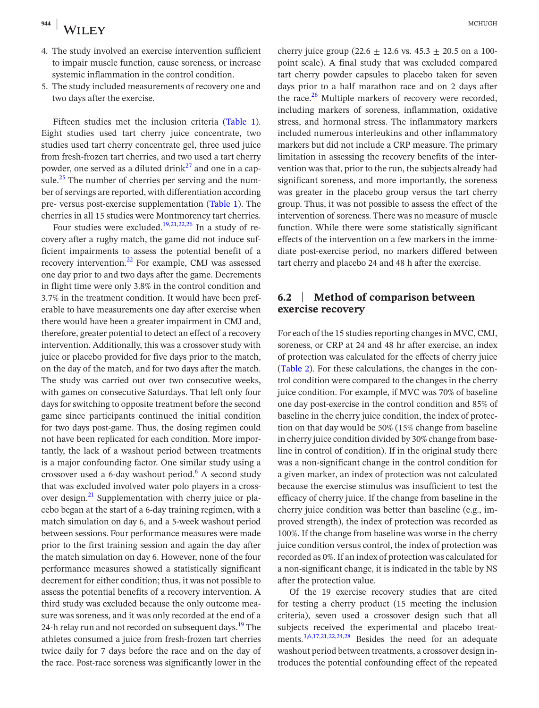- 4. The study involved an exercise intervention sufficient to impair muscle function, cause soreness, or increase systemic inflammation in the control condition.
- 5. The study included measurements of recovery one and two days after the exercise.

Fifteen studies met the inclusion criteria (Table [1\)](#page-5-0). Eight studies used tart cherry juice concentrate, two studies used tart cherry concentrate gel, three used juice from fresh-frozen tart cherries, and two used a tart cherry powder, one served as a diluted drink<sup>[27](#page-10-2)</sup> and one in a cap-sule.<sup>[25](#page-10-1)</sup> The number of cherries per serving and the number of servings are reported, with differentiation according pre- versus post-exercise supplementation (Table [1\)](#page-5-0). The cherries in all 15 studies were Montmorency tart cherries.

Four studies were excluded.<sup>[19,21,22,26](#page-10-11)</sup> In a study of recovery after a rugby match, the game did not induce sufficient impairments to assess the potential benefit of a recovery intervention.<sup>[22](#page-10-12)</sup> For example, CMJ was assessed one day prior to and two days after the game. Decrements in flight time were only 3.8% in the control condition and 3.7% in the treatment condition. It would have been preferable to have measurements one day after exercise when there would have been a greater impairment in CMJ and, therefore, greater potential to detect an effect of a recovery intervention. Additionally, this was a crossover study with juice or placebo provided for five days prior to the match, on the day of the match, and for two days after the match. The study was carried out over two consecutive weeks, with games on consecutive Saturdays. That left only four days for switching to opposite treatment before the second game since participants continued the initial condition for two days post-game. Thus, the dosing regimen could not have been replicated for each condition. More importantly, the lack of a washout period between treatments is a major confounding factor. One similar study using a crossover used a 6-day washout period. $6$  A second study that was excluded involved water polo players in a crossover design.<sup>21</sup> Supplementation with cherry juice or placebo began at the start of a 6-day training regimen, with a match simulation on day 6, and a 5-week washout period between sessions. Four performance measures were made prior to the first training session and again the day after the match simulation on day 6. However, none of the four performance measures showed a statistically significant decrement for either condition; thus, it was not possible to assess the potential benefits of a recovery intervention. A third study was excluded because the only outcome measure was soreness, and it was only recorded at the end of a 24-h relay run and not recorded on subsequent days.<sup>19</sup> The athletes consumed a juice from fresh-frozen tart cherries twice daily for 7 days before the race and on the day of the race. Post-race soreness was significantly lower in the

cherry juice group (22.6  $\pm$  12.6 vs. 45.3  $\pm$  20.5 on a 100point scale). A final study that was excluded compared tart cherry powder capsules to placebo taken for seven days prior to a half marathon race and on 2 days after the race. $26$  Multiple markers of recovery were recorded, including markers of soreness, inflammation, oxidative stress, and hormonal stress. The inflammatory markers included numerous interleukins and other inflammatory markers but did not include a CRP measure. The primary limitation in assessing the recovery benefits of the intervention was that, prior to the run, the subjects already had significant soreness, and more importantly, the soreness was greater in the placebo group versus the tart cherry group. Thus, it was not possible to assess the effect of the intervention of soreness. There was no measure of muscle function. While there were some statistically significant effects of the intervention on a few markers in the immediate post-exercise period, no markers differed between tart cherry and placebo 24 and 48 h after the exercise.

#### **6.2** | **Method of comparison between exercise recovery**

For each of the 15 studies reporting changes in MVC, CMJ, soreness, or CRP at 24 and 48 hr after exercise, an index of protection was calculated for the effects of cherry juice (Table [2\)](#page-6-0). For these calculations, the changes in the control condition were compared to the changes in the cherry juice condition. For example, if MVC was 70% of baseline one day post-exercise in the control condition and 85% of baseline in the cherry juice condition, the index of protection on that day would be 50% (15% change from baseline in cherry juice condition divided by 30% change from baseline in control of condition). If in the original study there was a non-significant change in the control condition for a given marker, an index of protection was not calculated because the exercise stimulus was insufficient to test the efficacy of cherry juice. If the change from baseline in the cherry juice condition was better than baseline (e.g., improved strength), the index of protection was recorded as 100%. If the change from baseline was worse in the cherry juice condition versus control, the index of protection was recorded as 0%. If an index of protection was calculated for a non-significant change, it is indicated in the table by NS after the protection value.

Of the 19 exercise recovery studies that are cited for testing a cherry product (15 meeting the inclusion criteria), seven used a crossover design such that all subjects received the experimental and placebo treatments.[3,6,17,21,22,24,28](#page-9-2) Besides the need for an adequate washout period between treatments, a crossover design introduces the potential confounding effect of the repeated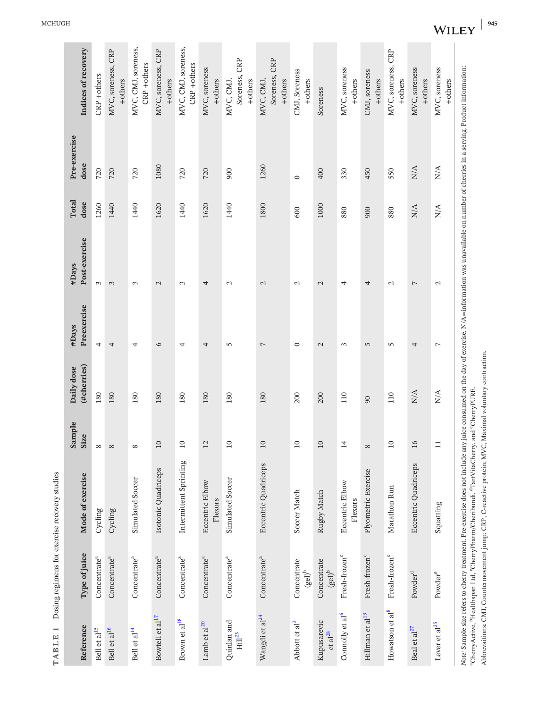| TABLE 1                                  |                                              | Dosing regimens for exercise recovery studies                                                                                                                                                                                                                                                                                                                                                                                                              |                       |                           |                          |                        |                             |                             |                                                 |
|------------------------------------------|----------------------------------------------|------------------------------------------------------------------------------------------------------------------------------------------------------------------------------------------------------------------------------------------------------------------------------------------------------------------------------------------------------------------------------------------------------------------------------------------------------------|-----------------------|---------------------------|--------------------------|------------------------|-----------------------------|-----------------------------|-------------------------------------------------|
| Reference                                | Type of juice                                | Mode of exercise                                                                                                                                                                                                                                                                                                                                                                                                                                           | Sample<br><b>Size</b> | (#cherries)<br>Daily dose | Preexercise<br>#Days     | Post-exercise<br>#Days | Total<br>dose               | Pre-exercise<br>dose        | Indices of recovery                             |
| Bell et al <sup>15</sup>                 | Concentrate <sup>a</sup>                     | Cycling                                                                                                                                                                                                                                                                                                                                                                                                                                                    | ${}^{\circ}$          | 180                       | 4                        | $\epsilon$             | 1260                        | 720                         | CRP +others                                     |
| Bell et al <sup>16</sup>                 | Concentrate <sup>a</sup>                     | Cycling                                                                                                                                                                                                                                                                                                                                                                                                                                                    | $\infty$              | 180                       | 4                        | 3                      | 1440                        | 720                         | MVC, soreness, CRP<br>+others                   |
| Bell et al <sup>14</sup>                 | Concentrate <sup>a</sup>                     | Simulated Soccer                                                                                                                                                                                                                                                                                                                                                                                                                                           | ${}^{\circ}$          | 180                       | 4                        | 3                      | 1440                        | 720                         | MVC, CMJ, soreness,<br>CRP +others              |
| Bowtell et al <sup>17</sup>              | Concentrate <sup>a</sup>                     | Isotonic Quadriceps                                                                                                                                                                                                                                                                                                                                                                                                                                        | $10\,$                | 180                       | 6                        | $\mathcal{L}$          | 1620                        | 1080                        | MVC, soreness, CRP<br>+others                   |
| Brown et al <sup>18</sup>                | Concentrate <sup>a</sup>                     | Intermittent Sprinting                                                                                                                                                                                                                                                                                                                                                                                                                                     | $\overline{10}$       | 180                       | 4                        | 3                      | 1440                        | 720                         | MVC, CMJ, soreness,<br>CRP +others              |
| Lamb et al <sup>20</sup>                 | Concentrate <sup>a</sup>                     | Eccentric Elbow<br>Flexors                                                                                                                                                                                                                                                                                                                                                                                                                                 | $\overline{12}$       | 180                       | 4                        | 4                      | 1620                        | 720                         | MVC, soreness<br>+others                        |
| Quinlan and<br>$\mathrm{Hill}^{23}$      | Concentrate <sup>a</sup>                     | Simulated Soccer                                                                                                                                                                                                                                                                                                                                                                                                                                           | $\overline{10}$       | 180                       | 5                        | $\mathcal{L}$          | 1440                        | 900                         | <b>CRP</b><br>Soreness,<br>MVC, CMJ,<br>+others |
| Wangdi et al <sup>24</sup>               | Concentrate <sup>a</sup>                     | <b>Eccentric Quadriceps</b>                                                                                                                                                                                                                                                                                                                                                                                                                                | 10                    | 180                       | $\overline{\phantom{0}}$ | $\mathcal{L}$          | 1800                        | 1260                        | CRP<br>Soreness,<br>MVC, CMJ,<br>+others        |
| Abbott et al <sup>3</sup>                | Concentrate<br>$\mathrm{(gel)}^{\mathrm{b}}$ | Soccer Match                                                                                                                                                                                                                                                                                                                                                                                                                                               | $\overline{10}$       | 200                       | $\circ$                  | $\mathcal{L}$          | 600                         | $\circ$                     | CMJ, Soreness<br>+others                        |
| Kupusarevic<br>$et$ $al^{28}$            | Concentrate<br>$(\mathrm{gel})^\mathrm{b}$   | Rugby Match                                                                                                                                                                                                                                                                                                                                                                                                                                                | 10                    | 200                       | $\mathcal{L}$            | $\mathcal{L}$          | 1000                        | 400                         | Soreness                                        |
| Connolly et al <sup>6</sup>              | Fresh-frozen <sup>c</sup>                    | Eccentric Elbow<br>Flexors                                                                                                                                                                                                                                                                                                                                                                                                                                 | $\overline{4}$        | 110                       | $\mathfrak{c}$           | 4                      | 880                         | 330                         | MVC, soreness<br>+others                        |
| $\hbox{Hillman et al}\ensuremath{^{13}}$ | Fresh-frozen <sup>c</sup>                    | Plyometric Exercise                                                                                                                                                                                                                                                                                                                                                                                                                                        | $\infty$              | 90                        | 5                        | 4                      | 900                         | 450                         | CMJ, soreness<br>+others                        |
| Howatson et al <sup>8</sup>              | Fresh-frozen <sup>c</sup>                    | Marathon Run                                                                                                                                                                                                                                                                                                                                                                                                                                               | $\overline{10}$       | 110                       | $\overline{5}$           | $\sim$                 | 880                         | 550                         | MVC, soreness, CRP<br>+others                   |
| Beal et al <sup>27</sup>                 | $\mbox{Power}^d$                             | Eccentric Quadriceps                                                                                                                                                                                                                                                                                                                                                                                                                                       | 16                    | ${\rm N/A}$               | 4                        | 7                      | ${\rm N/A}$                 | ${\rm N/A}$                 | MVC, soreness<br>+others                        |
| Lever et al <sup>25</sup>                | Powder <sup>e</sup>                          | Squatting                                                                                                                                                                                                                                                                                                                                                                                                                                                  | $\Box$                | $N/\mathcal{A}$           | $\overline{ }$           | $\mathcal{L}$          | $\mathop{\rm N/A}\nolimits$ | $\mathop{\rm N/A}\nolimits$ | MVC, soreness<br>+others                        |
|                                          |                                              | Note: Sample size refers to cherry treatment. Pre-exercise does not include any juice consumed on the day of exercise. N/A=information was unavailable on number of cherries in a serving. Product information:<br>Abbrevaitions: CMJ. Countermovement jump; CRP. C-reactive protein: MVC. Maximal voluntary contraction.<br><sup>a</sup> CherryActive, <sup>b</sup> Healthspan Ltd, 'CherryPharm/Cheribundi, <sup>4</sup> TartVitaCherry, and 'CherryPURE |                       |                           |                          |                        |                             |                             |                                                 |

<span id="page-5-0"></span>

 $\sim$ 

WILEY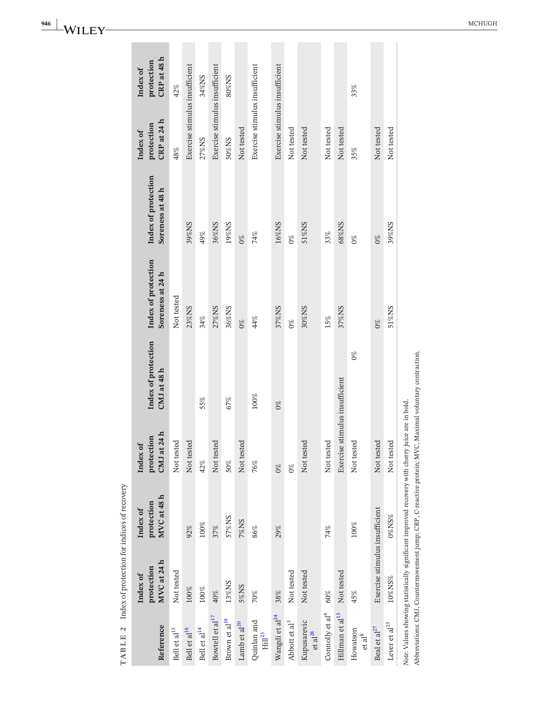| TABLE <sub>2</sub>                  | Index of protection for indices of recovery |                                                                                                                                                                                                           |                                       |                                    |                                         |                                         |                                       |                                       |
|-------------------------------------|---------------------------------------------|-----------------------------------------------------------------------------------------------------------------------------------------------------------------------------------------------------------|---------------------------------------|------------------------------------|-----------------------------------------|-----------------------------------------|---------------------------------------|---------------------------------------|
| Reference                           | MVC at 24 h<br>protection<br>Index of       | MVC at 48 h<br>protection<br>Index of                                                                                                                                                                     | CMJ at 24 h<br>protection<br>Index of | Index of protection<br>CMJ at 48 h | Index of protection<br>Soreness at 24 h | Index of protection<br>Soreness at 48 h | CRP at 24 h<br>protection<br>Index of | CRP at 48 h<br>protection<br>Index of |
| Bell et al <sup>15</sup>            | Not tested                                  |                                                                                                                                                                                                           | Not tested                            |                                    | Not tested                              |                                         | 48%                                   | 42%                                   |
| Bell et al <sup>16</sup>            | $100\%$                                     | 92%                                                                                                                                                                                                       | Not tested                            |                                    | 23%NS                                   | 39%NS                                   | Exercise stimulus insufficient        |                                       |
| Bell et al <sup>14</sup>            | 100%                                        | $100\%$                                                                                                                                                                                                   | 42%                                   | 55%                                | 34%                                     | 49%                                     | 27%NS                                 | 34%NS                                 |
| Bowtell et al <sup>17</sup>         | 40%                                         | 37%                                                                                                                                                                                                       | Not tested                            |                                    | 27%NS                                   | 36%NS                                   | Exercise stimulus insufficient        |                                       |
| Brown et al <sup>18</sup>           | 13%NS                                       | 57%NS                                                                                                                                                                                                     | 50%                                   | 67%                                | 36%NS                                   | 19%NS                                   | 50%NS                                 | 80%NS                                 |
| Lamb et al <sup>20</sup>            | 5%NS                                        | <b>Z%NS</b>                                                                                                                                                                                               | Not tested                            |                                    | $0\%$                                   | $0\%$                                   | Not tested                            |                                       |
| Quinlan and<br>$\mathrm{Hill}^{23}$ | 70%                                         | 86%                                                                                                                                                                                                       | 76%                                   | $100\%$                            | 44%                                     | 74%                                     | Exercise stimulus insufficient        |                                       |
| Wangdi et al <sup>24</sup>          | 38%                                         | 29%                                                                                                                                                                                                       | $0\%$                                 | $0\%$                              | 37%NS                                   | 16%NS                                   | Exercise stimulus insufficient        |                                       |
| Abbott et al <sup>3</sup>           | Not tested                                  |                                                                                                                                                                                                           | $0\%$                                 |                                    | $0\%$                                   | $0\%$                                   | Not tested                            |                                       |
| Kupusarevic<br>$et$ $al^{28}$       | Not tested                                  |                                                                                                                                                                                                           | Not tested                            |                                    | 30%NS                                   | 51%NS                                   | Not tested                            |                                       |
| Connolly et al <sup>6</sup>         | 60%                                         | 74%                                                                                                                                                                                                       | Not tested                            |                                    | 15%                                     | 33%                                     | Not tested                            |                                       |
| Hillman et al <sup>13</sup>         | Not tested                                  |                                                                                                                                                                                                           | Exercise stimulus insufficient        |                                    | 37%NS                                   | 68%NS                                   | Not tested                            |                                       |
| Howatson<br>et al <sup>8</sup>      | 45%                                         | 100%                                                                                                                                                                                                      | Not tested                            | $0\%$                              |                                         | $0\%$                                   | 35%                                   | 33%                                   |
| Beal et al $^{27}$                  | Exercise stimulus insufficient              |                                                                                                                                                                                                           | Not tested                            |                                    | $0\%$                                   | $0\%$                                   | Not tested                            |                                       |
| Lever et $\rm{al}^{25}$             | 10%NS%                                      | $0\%$ NS%                                                                                                                                                                                                 | Not tested                            |                                    | 51%NS                                   | 39%NS                                   | Not tested                            |                                       |
|                                     |                                             | Abbreviations: CMJ, Countermovement jump; CRP, C-reactive protein; MVC, Maximal voluntary contraction.<br>Note: Values showing statistically significant improved recovery with cherry juice are in bold. |                                       |                                    |                                         |                                         |                                       |                                       |

<span id="page-6-0"></span>

**946**  $\begin{bmatrix} \mathbf{M} & \mathbf{M} & \mathbf{M} & \mathbf{M} & \mathbf{M} & \mathbf{M} & \mathbf{M} & \mathbf{M} & \mathbf{M} & \mathbf{M} & \mathbf{M} & \mathbf{M} & \mathbf{M} & \mathbf{M} & \mathbf{M} & \mathbf{M} & \mathbf{M} & \mathbf{M} & \mathbf{M} & \mathbf{M} & \mathbf{M} & \mathbf{M} & \mathbf{M} & \mathbf{M} & \mathbf{M} & \mathbf{M} & \mathbf{M} & \mathbf{M} & \mathbf{M} & \mathbf{M}$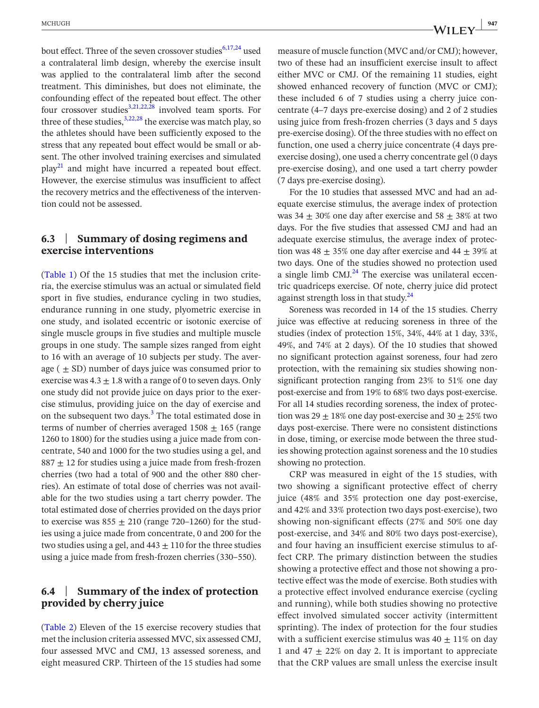bout effect. Three of the seven crossover studies $6,17,24$  used a contralateral limb design, whereby the exercise insult was applied to the contralateral limb after the second treatment. This diminishes, but does not eliminate, the confounding effect of the repeated bout effect. The other four crossover studies<sup>[3,21,22,28](#page-9-2)</sup> involved team sports. For three of these studies,  $3,22,28$  the exercise was match play, so the athletes should have been sufficiently exposed to the stress that any repeated bout effect would be small or absent. The other involved training exercises and simulated  $play<sup>21</sup>$  and might have incurred a repeated bout effect. However, the exercise stimulus was insufficient to affect the recovery metrics and the effectiveness of the intervention could not be assessed.

## **6.3** | **Summary of dosing regimens and exercise interventions**

(Table [1](#page-5-0)) Of the 15 studies that met the inclusion criteria, the exercise stimulus was an actual or simulated field sport in five studies, endurance cycling in two studies, endurance running in one study, plyometric exercise in one study, and isolated eccentric or isotonic exercise of single muscle groups in five studies and multiple muscle groups in one study. The sample sizes ranged from eight to 16 with an average of 10 subjects per study. The average  $( \pm SD)$  number of days juice was consumed prior to exercise was  $4.3 \pm 1.8$  with a range of 0 to seven days. Only one study did not provide juice on days prior to the exercise stimulus, providing juice on the day of exercise and on the subsequent two days.<sup>[3](#page-9-2)</sup> The total estimated dose in terms of number of cherries averaged  $1508 \pm 165$  (range 1260 to 1800) for the studies using a juice made from concentrate, 540 and 1000 for the two studies using a gel, and  $887 \pm 12$  for studies using a juice made from fresh-frozen cherries (two had a total of 900 and the other 880 cherries). An estimate of total dose of cherries was not available for the two studies using a tart cherry powder. The total estimated dose of cherries provided on the days prior to exercise was  $855 \pm 210$  (range 720–1260) for the studies using a juice made from concentrate, 0 and 200 for the two studies using a gel, and  $443 \pm 110$  for the three studies using a juice made from fresh-frozen cherries (330–550).

## **6.4** | **Summary of the index of protection provided by cherry juice**

(Table [2](#page-6-0)) Eleven of the 15 exercise recovery studies that met the inclusion criteria assessed MVC, six assessed CMJ, four assessed MVC and CMJ, 13 assessed soreness, and eight measured CRP. Thirteen of the 15 studies had some

measure of muscle function (MVC and/or CMJ); however, two of these had an insufficient exercise insult to affect either MVC or CMJ. Of the remaining 11 studies, eight showed enhanced recovery of function (MVC or CMJ); these included 6 of 7 studies using a cherry juice concentrate (4–7 days pre-exercise dosing) and 2 of 2 studies using juice from fresh-frozen cherries (3 days and 5 days pre-exercise dosing). Of the three studies with no effect on function, one used a cherry juice concentrate (4 days preexercise dosing), one used a cherry concentrate gel (0 days pre-exercise dosing), and one used a tart cherry powder (7 days pre-exercise dosing).

For the 10 studies that assessed MVC and had an adequate exercise stimulus, the average index of protection was  $34 \pm 30\%$  one day after exercise and  $58 \pm 38\%$  at two days. For the five studies that assessed CMJ and had an adequate exercise stimulus, the average index of protection was  $48 \pm 35\%$  one day after exercise and  $44 \pm 39\%$  at two days. One of the studies showed no protection used a single limb  $CMJ<sup>24</sup>$  $CMJ<sup>24</sup>$  $CMJ<sup>24</sup>$ . The exercise was unilateral eccentric quadriceps exercise. Of note, cherry juice did protect against strength loss in that study. $^{24}$  $^{24}$  $^{24}$ 

Soreness was recorded in 14 of the 15 studies. Cherry juice was effective at reducing soreness in three of the studies (index of protection 15%, 34%, 44% at 1 day, 33%, 49%, and 74% at 2 days). Of the 10 studies that showed no significant protection against soreness, four had zero protection, with the remaining six studies showing nonsignificant protection ranging from 23% to 51% one day post-exercise and from 19% to 68% two days post-exercise. For all 14 studies recording soreness, the index of protection was  $29 \pm 18\%$  one day post-exercise and  $30 \pm 25\%$  two days post-exercise. There were no consistent distinctions in dose, timing, or exercise mode between the three studies showing protection against soreness and the 10 studies showing no protection.

CRP was measured in eight of the 15 studies, with two showing a significant protective effect of cherry juice (48% and 35% protection one day post-exercise, and 42% and 33% protection two days post-exercise), two showing non-significant effects (27% and 50% one day post-exercise, and 34% and 80% two days post-exercise), and four having an insufficient exercise stimulus to affect CRP. The primary distinction between the studies showing a protective effect and those not showing a protective effect was the mode of exercise. Both studies with a protective effect involved endurance exercise (cycling and running), while both studies showing no protective effect involved simulated soccer activity (intermittent sprinting). The index of protection for the four studies with a sufficient exercise stimulus was  $40 \pm 11\%$  on day 1 and 47  $\pm$  22% on day 2. It is important to appreciate that the CRP values are small unless the exercise insult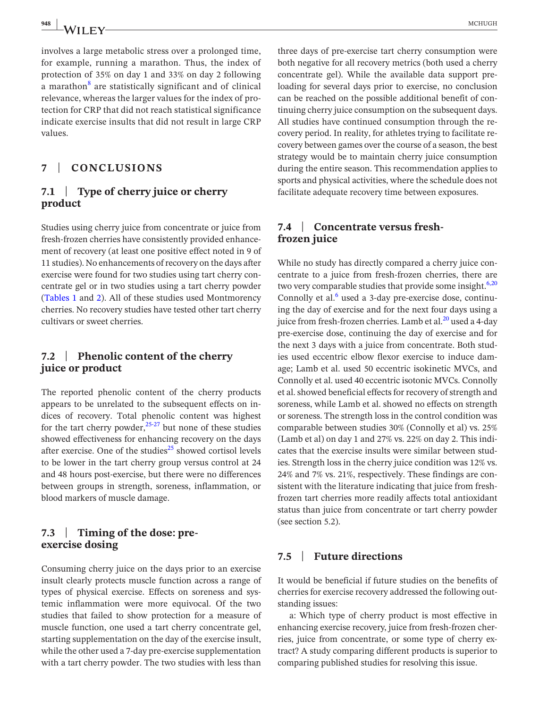involves a large metabolic stress over a prolonged time, for example, running a marathon. Thus, the index of protection of 35% on day 1 and 33% on day 2 following a marathon<sup>[8](#page-9-9)</sup> are statistically significant and of clinical relevance, whereas the larger values for the index of protection for CRP that did not reach statistical significance indicate exercise insults that did not result in large CRP values.

# **7** | **CONCLUSIONS**

# **7.1** | **Type of cherry juice or cherry product**

Studies using cherry juice from concentrate or juice from fresh-frozen cherries have consistently provided enhancement of recovery (at least one positive effect noted in 9 of 11 studies). No enhancements of recovery on the days after exercise were found for two studies using tart cherry concentrate gel or in two studies using a tart cherry powder (Tables [1](#page-5-0) and [2\)](#page-6-0). All of these studies used Montmorency cherries. No recovery studies have tested other tart cherry cultivars or sweet cherries.

## **7.2** | **Phenolic content of the cherry juice or product**

The reported phenolic content of the cherry products appears to be unrelated to the subsequent effects on indices of recovery. Total phenolic content was highest for the tart cherry powder,  $25-27$  but none of these studies showed effectiveness for enhancing recovery on the days after exercise. One of the studies $^{25}$  $^{25}$  $^{25}$  showed cortisol levels to be lower in the tart cherry group versus control at 24 and 48 hours post-exercise, but there were no differences between groups in strength, soreness, inflammation, or blood markers of muscle damage.

### **7.3** | **Timing of the dose: preexercise dosing**

Consuming cherry juice on the days prior to an exercise insult clearly protects muscle function across a range of types of physical exercise. Effects on soreness and systemic inflammation were more equivocal. Of the two studies that failed to show protection for a measure of muscle function, one used a tart cherry concentrate gel, starting supplementation on the day of the exercise insult, while the other used a 7-day pre-exercise supplementation with a tart cherry powder. The two studies with less than

three days of pre-exercise tart cherry consumption were both negative for all recovery metrics (both used a cherry concentrate gel). While the available data support preloading for several days prior to exercise, no conclusion can be reached on the possible additional benefit of continuing cherry juice consumption on the subsequent days. All studies have continued consumption through the recovery period. In reality, for athletes trying to facilitate recovery between games over the course of a season, the best strategy would be to maintain cherry juice consumption during the entire season. This recommendation applies to sports and physical activities, where the schedule does not facilitate adequate recovery time between exposures.

## **7.4** | **Concentrate versus freshfrozen juice**

While no study has directly compared a cherry juice concentrate to a juice from fresh-frozen cherries, there are two very comparable studies that provide some insight.<sup>[6,20](#page-9-5)</sup> Connolly et al. $<sup>6</sup>$  used a 3-day pre-exercise dose, continu-</sup> ing the day of exercise and for the next four days using a juice from fresh-frozen cherries. Lamb et al. $^{20}$  used a 4-day pre-exercise dose, continuing the day of exercise and for the next 3 days with a juice from concentrate. Both studies used eccentric elbow flexor exercise to induce damage; Lamb et al. used 50 eccentric isokinetic MVCs, and Connolly et al. used 40 eccentric isotonic MVCs. Connolly et al. showed beneficial effects for recovery of strength and soreness, while Lamb et al. showed no effects on strength or soreness. The strength loss in the control condition was comparable between studies 30% (Connolly et al) vs. 25% (Lamb et al) on day 1 and 27% vs. 22% on day 2. This indicates that the exercise insults were similar between studies. Strength loss in the cherry juice condition was 12% vs. 24% and 7% vs. 21%, respectively. These findings are consistent with the literature indicating that juice from freshfrozen tart cherries more readily affects total antioxidant status than juice from concentrate or tart cherry powder (see section 5.2).

## **7.5** | **Future directions**

It would be beneficial if future studies on the benefits of cherries for exercise recovery addressed the following outstanding issues:

a: Which type of cherry product is most effective in enhancing exercise recovery, juice from fresh-frozen cherries, juice from concentrate, or some type of cherry extract? A study comparing different products is superior to comparing published studies for resolving this issue.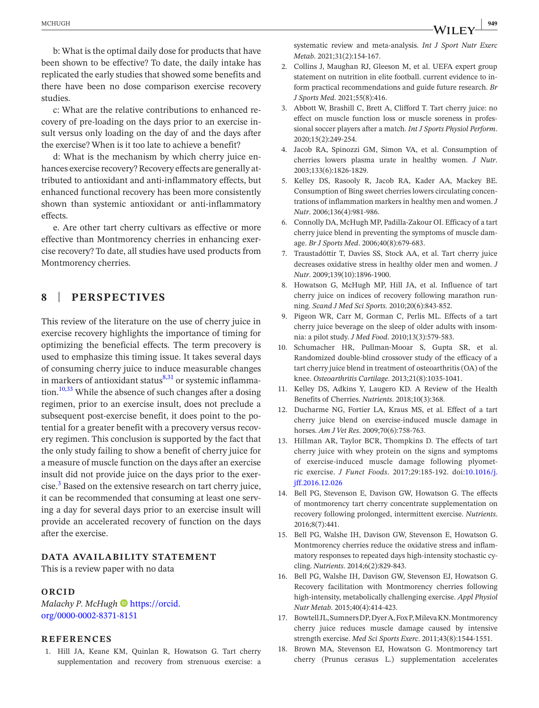b: What is the optimal daily dose for products that have been shown to be effective? To date, the daily intake has replicated the early studies that showed some benefits and there have been no dose comparison exercise recovery studies.

c: What are the relative contributions to enhanced recovery of pre-loading on the days prior to an exercise insult versus only loading on the day of and the days after the exercise? When is it too late to achieve a benefit?

d: What is the mechanism by which cherry juice enhances exercise recovery? Recovery effects are generally attributed to antioxidant and anti-inflammatory effects, but enhanced functional recovery has been more consistently shown than systemic antioxidant or anti-inflammatory effects.

e. Are other tart cherry cultivars as effective or more effective than Montmorency cherries in enhancing exercise recovery? To date, all studies have used products from Montmorency cherries.

# **8** | **PERSPECTIVES**

This review of the literature on the use of cherry juice in exercise recovery highlights the importance of timing for optimizing the beneficial effects. The term precovery is used to emphasize this timing issue. It takes several days of consuming cherry juice to induce measurable changes in markers of antioxidant status $8,31$  or systemic inflammation.<sup>10,33</sup> While the absence of such changes after a dosing regimen, prior to an exercise insult, does not preclude a subsequent post-exercise benefit, it does point to the potential for a greater benefit with a precovery versus recovery regimen. This conclusion is supported by the fact that the only study failing to show a benefit of cherry juice for a measure of muscle function on the days after an exercise insult did not provide juice on the days prior to the exer- $\text{cise.}^3$  $\text{cise.}^3$  Based on the extensive research on tart cherry juice, it can be recommended that consuming at least one serving a day for several days prior to an exercise insult will provide an accelerated recovery of function on the days after the exercise.

#### **DATA AVAILABILITY STATEMENT**

This is a review paper with no data

#### **ORCID**

*Malachy P. McHugh* **b** [https://orcid.](https://orcid.org/0000-0002-8371-8151) [org/0000-0002-8371-8151](https://orcid.org/0000-0002-8371-8151)

#### **REFERENCES**

<span id="page-9-0"></span>1. Hill JA, Keane KM, Quinlan R, Howatson G. Tart cherry supplementation and recovery from strenuous exercise: a

systematic review and meta-analysis. *Int J Sport Nutr Exerc Metab*. 2021;31(2):154-167.

- <span id="page-9-1"></span>2. Collins J, Maughan RJ, Gleeson M, et al. UEFA expert group statement on nutrition in elite football. current evidence to inform practical recommendations and guide future research. *Br J Sports Med*. 2021;55(8):416.
- <span id="page-9-2"></span>3. Abbott W, Brashill C, Brett A, Clifford T. Tart cherry juice: no effect on muscle function loss or muscle soreness in professional soccer players after a match. *Int J Sports Physiol Perform*. 2020;15(2):249-254.
- <span id="page-9-3"></span>4. Jacob RA, Spinozzi GM, Simon VA, et al. Consumption of cherries lowers plasma urate in healthy women. *J Nutr*. 2003;133(6):1826-1829.
- <span id="page-9-4"></span>5. Kelley DS, Rasooly R, Jacob RA, Kader AA, Mackey BE. Consumption of Bing sweet cherries lowers circulating concentrations of inflammation markersin healthy men and women.*J Nutr*. 2006;136(4):981-986.
- <span id="page-9-5"></span>6. Connolly DA, McHugh MP, Padilla-Zakour OI. Efficacy of a tart cherry juice blend in preventing the symptoms of muscle damage. *Br J Sports Med*. 2006;40(8):679-683.
- <span id="page-9-6"></span>7. Traustadóttir T, Davies SS, Stock AA, et al. Tart cherry juice decreases oxidative stress in healthy older men and women. *J Nutr*. 2009;139(10):1896-1900.
- <span id="page-9-9"></span>8. Howatson G, McHugh MP, Hill JA, et al. Influence of tart cherry juice on indices of recovery following marathon running. *Scand J Med Sci Sports*. 2010;20(6):843-852.
- 9. Pigeon WR, Carr M, Gorman C, Perlis ML. Effects of a tart cherry juice beverage on the sleep of older adults with insomnia: a pilot study. *J Med Food*. 2010;13(3):579-583.
- <span id="page-9-10"></span>10. Schumacher HR, Pullman-Mooar S, Gupta SR, et al. Randomized double-blind crossover study of the efficacy of a tart cherry juice blend in treatment of osteoarthritis (OA) of the knee. *Osteoarthritis Cartilage*. 2013;21(8):1035-1041.
- <span id="page-9-7"></span>11. Kelley DS, Adkins Y, Laugero KD. A Review of the Health Benefits of Cherries. *Nutrients*. 2018;10(3):368.
- 12. Ducharme NG, Fortier LA, Kraus MS, et al. Effect of a tart cherry juice blend on exercise-induced muscle damage in horses. *Am J Vet Res*. 2009;70(6):758-763.
- <span id="page-9-15"></span>13. Hillman AR, Taylor BCR, Thompkins D. The effects of tart cherry juice with whey protein on the signs and symptoms of exercise-induced muscle damage following plyometric exercise. *J Funct Foods*. 2017;29:185-192. doi:[10.1016/j.](https://doi.org/10.1016/j.jff.2016.12.026) [jff.2016.12.026](https://doi.org/10.1016/j.jff.2016.12.026)
- <span id="page-9-13"></span>14. Bell PG, Stevenson E, Davison GW, Howatson G. The effects of montmorency tart cherry concentrate supplementation on recovery following prolonged, intermittent exercise. *Nutrients*. 2016;8(7):441.
- <span id="page-9-11"></span>15. Bell PG, Walshe IH, Davison GW, Stevenson E, Howatson G. Montmorency cherries reduce the oxidative stress and inflammatory responses to repeated days high-intensity stochastic cycling. *Nutrients*. 2014;6(2):829-843.
- <span id="page-9-12"></span>16. Bell PG, Walshe IH, Davison GW, Stevenson EJ, Howatson G. Recovery facilitation with Montmorency cherries following high-intensity, metabolically challenging exercise. *Appl Physiol Nutr Metab*. 2015;40(4):414-423.
- <span id="page-9-8"></span>17. BowtellJL,SumnersDP,DyerA,FoxP,MilevaKN.Montmorency cherry juice reduces muscle damage caused by intensive strength exercise. *Med Sci Sports Exerc*. 2011;43(8):1544-1551.
- <span id="page-9-14"></span>18. Brown MA, Stevenson EJ, Howatson G. Montmorency tart cherry (Prunus cerasus L.) supplementation accelerates